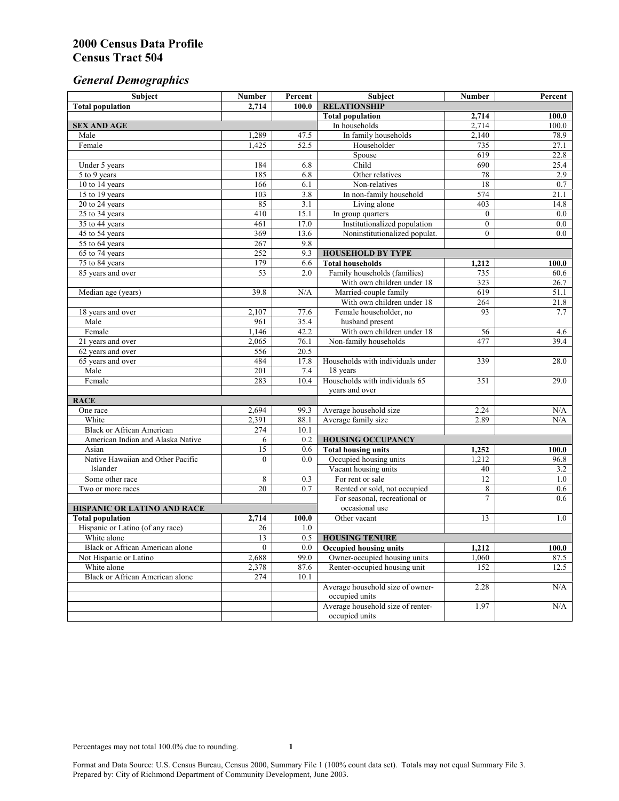# *General Demographics*

| Subject                           | <b>Number</b>          | Percent    | Subject                                                 | <b>Number</b>   | Percent            |
|-----------------------------------|------------------------|------------|---------------------------------------------------------|-----------------|--------------------|
| <b>Total population</b>           | 2,714                  | 100.0      | <b>RELATIONSHIP</b>                                     |                 |                    |
|                                   |                        |            | <b>Total population</b>                                 | 2,714           | $\overline{100.0}$ |
| <b>SEX AND AGE</b>                |                        |            | In households                                           | 2,714           | 100.0              |
| Male                              | 1,289                  | 47.5       | In family households                                    | 2,140           | 78.9               |
| Female                            | 1,425                  | 52.5       | Householder                                             | 735             | 27.1               |
|                                   |                        |            | Spouse                                                  | 619             | 22.8               |
| Under 5 years                     | 184                    | 6.8        | Child                                                   | 690             | 25.4               |
| 5 to 9 years                      | 185                    | 6.8        | Other relatives                                         | 78              | 2.9                |
| 10 to 14 years                    | 166                    | 6.1        | Non-relatives                                           | 18              | 0.7                |
| 15 to 19 years                    | 103                    | 3.8        | In non-family household                                 | 574             | 21.1               |
| 20 to 24 years                    | 85                     | 3.1        | Living alone                                            | 403             | 14.8               |
| $25 \text{ to } 34$ years         | 410                    | 15.1       | In group quarters                                       | $\overline{0}$  | 0.0                |
| 35 to 44 years                    | 461                    | 17.0       | Institutionalized population                            | $\overline{0}$  | 0.0                |
| 45 to 54 years                    | 369                    | 13.6       | Noninstitutionalized populat.                           | $\overline{0}$  | 0.0                |
| 55 to 64 years                    | 267                    | 9.8        |                                                         |                 |                    |
| 65 to 74 years                    | 252                    | 9.3        | <b>HOUSEHOLD BY TYPE</b>                                |                 |                    |
| 75 to 84 years                    | 179<br>$\overline{53}$ | 6.6<br>2.0 | <b>Total households</b><br>Family households (families) | 1,212<br>735    | 100.0<br>60.6      |
| 85 years and over                 |                        |            | With own children under 18                              | 323             |                    |
|                                   | 39.8                   | N/A        | Married-couple family                                   | 619             | 26.7<br>51.1       |
| Median age (years)                |                        |            | With own children under 18                              | 264             | 21.8               |
| 18 years and over                 | 2,107                  | 77.6       | Female householder, no                                  | 93              | 7.7                |
| Male                              | 961                    | 35.4       | husband present                                         |                 |                    |
| Female                            | 1,146                  | 42.2       | With own children under 18                              | 56              | 4.6                |
| 21 years and over                 | 2,065                  | 76.1       | Non-family households                                   | 477             | 39.4               |
| 62 years and over                 | 556                    | 20.5       |                                                         |                 |                    |
| 65 years and over                 | 484                    | 17.8       | Households with individuals under                       | 339             | 28.0               |
| Male                              | 201                    | 7.4        | 18 years                                                |                 |                    |
| Female                            | 283                    | 10.4       | Households with individuals 65                          | 351             | 29.0               |
|                                   |                        |            | years and over                                          |                 |                    |
| <b>RACE</b>                       |                        |            |                                                         |                 |                    |
| One race                          | 2,694                  | 99.3       | Average household size                                  | 2.24            | $\rm N/A$          |
| White                             | 2,391                  | 88.1       | Average family size                                     | 2.89            | N/A                |
| <b>Black or African American</b>  | 274                    | 10.1       |                                                         |                 |                    |
| American Indian and Alaska Native | 6                      | 0.2        | <b>HOUSING OCCUPANCY</b>                                |                 |                    |
| Asian                             | $\overline{15}$        | 0.6        | <b>Total housing units</b>                              | 1,252           | 100.0              |
| Native Hawaiian and Other Pacific | $\theta$               | 0.0        | Occupied housing units                                  | 1,212           | 96.8               |
| Islander                          |                        |            | Vacant housing units                                    | 40              | 3.2                |
| Some other race                   | 8                      | 0.3        | For rent or sale                                        | $\overline{12}$ | 1.0                |
| Two or more races                 | $\overline{20}$        | 0.7        | Rented or sold, not occupied                            | 8               | 0.6                |
|                                   |                        |            | For seasonal, recreational or                           | $\overline{7}$  | 0.6                |
| HISPANIC OR LATINO AND RACE       |                        |            | occasional use                                          |                 |                    |
| <b>Total population</b>           | 2,714                  | 100.0      | Other vacant                                            | 13              | 1.0                |
| Hispanic or Latino (of any race)  | 26                     | 1.0        |                                                         |                 |                    |
| White alone                       | 13                     | 0.5        | <b>HOUSING TENURE</b>                                   |                 |                    |
| Black or African American alone   | $\bf{0}$               | 0.0        | <b>Occupied housing units</b>                           | 1,212           | 100.0              |
| Not Hispanic or Latino            | 2,688                  | 99.0       | Owner-occupied housing units                            | 1,060           | 87.5               |
| White alone                       | 2,378                  | 87.6       | Renter-occupied housing unit                            | 152             | 12.5               |
| Black or African American alone   | 274                    | 10.1       |                                                         |                 |                    |
|                                   |                        |            | Average household size of owner-                        | 2.28            | N/A                |
|                                   |                        |            | occupied units                                          |                 |                    |
|                                   |                        |            | Average household size of renter-                       | 1.97            | N/A                |
|                                   |                        |            | occupied units                                          |                 |                    |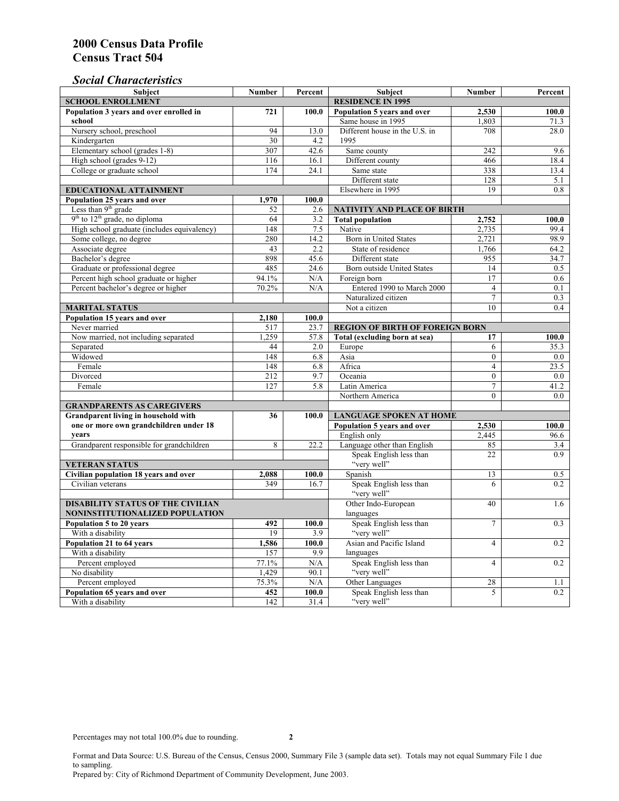## *Social Characteristics*

| <b>Subject</b>                              | <b>Number</b>            | Percent | <b>Subject</b>                         | <b>Number</b>            | Percent |
|---------------------------------------------|--------------------------|---------|----------------------------------------|--------------------------|---------|
| <b>SCHOOL ENROLLMENT</b>                    | <b>RESIDENCE IN 1995</b> |         |                                        |                          |         |
| Population 3 years and over enrolled in     | 721                      | 100.0   | Population 5 years and over            | 2,530                    | 100.0   |
| school                                      |                          |         | Same house in 1995                     | 1,803                    | 71.3    |
| Nursery school, preschool                   | 94                       | 13.0    | Different house in the U.S. in         | 708                      | 28.0    |
| Kindergarten                                | 30                       | 4.2     | 1995                                   |                          |         |
| Elementary school (grades 1-8)              | 307                      | 42.6    | Same county                            | 242                      | 9.6     |
| High school (grades 9-12)                   | 116                      | 16.1    | Different county                       | 466                      | 18.4    |
| College or graduate school                  | 174                      | 24.1    | Same state                             | 338                      | 13.4    |
|                                             |                          |         | Different state                        | 128                      | 5.1     |
| EDUCATIONAL ATTAINMENT                      |                          |         | Elsewhere in 1995                      | 19                       | 0.8     |
| Population 25 years and over                | 1,970                    | 100.0   |                                        |                          |         |
| Less than 9 <sup>th</sup> grade             | 52                       | 2.6     | NATIVITY AND PLACE OF BIRTH            |                          |         |
| $9th$ to $12th$ grade, no diploma           | 64                       | 3.2     | <b>Total population</b>                | 2,752                    | 100.0   |
| High school graduate (includes equivalency) | 148                      | 7.5     | Native                                 | 2.735                    | 99.4    |
| Some college, no degree                     | 280                      | 14.2    | Born in United States                  | 2,721                    | 98.9    |
| Associate degree                            | 43                       | 2.2     | State of residence                     | 1,766                    | 64.2    |
| Bachelor's degree                           | 898                      | 45.6    | Different state                        | 955                      | 34.7    |
| Graduate or professional degree             | 485                      | 24.6    | Born outside United States             | 14                       | 0.5     |
| Percent high school graduate or higher      | 94.1%                    | N/A     | Foreign born                           | $\overline{17}$          | 0.6     |
| Percent bachelor's degree or higher         | 70.2%                    | N/A     | Entered 1990 to March 2000             | $\overline{4}$           | 0.1     |
|                                             |                          |         | Naturalized citizen                    | $\overline{7}$           | 0.3     |
| <b>MARITAL STATUS</b>                       | Not a citizen            | 10      | 0.4                                    |                          |         |
| Population 15 years and over                | 2,180                    | 100.0   |                                        |                          |         |
| Never married                               | 517                      | 23.7    | <b>REGION OF BIRTH OF FOREIGN BORN</b> |                          |         |
| Now married, not including separated        | 1,259                    | 57.8    | Total (excluding born at sea)          | 17                       | 100.0   |
| Separated                                   | 44                       | 2.0     | Europe                                 | 6                        | 35.3    |
| Widowed                                     | 148                      | 6.8     | Asia                                   | $\overline{0}$           | $0.0\,$ |
| Female                                      | 148                      | 6.8     | Africa                                 | $\overline{4}$           | 23.5    |
| Divorced                                    | 212                      | 9.7     | Oceania                                | $\theta$                 | 0.0     |
| Female                                      | 127                      | 5.8     | Latin America                          | $\tau$                   | 41.2    |
|                                             |                          |         | Northern America                       | $\theta$                 | 0.0     |
| <b>GRANDPARENTS AS CAREGIVERS</b>           |                          |         |                                        |                          |         |
| Grandparent living in household with        | 36                       | 100.0   | <b>LANGUAGE SPOKEN AT HOME</b>         |                          |         |
| one or more own grandchildren under 18      |                          |         | Population 5 years and over            | 2,530                    | 100.0   |
| years                                       |                          |         | English only                           | 2,445                    | 96.6    |
| Grandparent responsible for grandchildren   | 8                        | 22.2    | Language other than English            | 85                       | 3.4     |
|                                             |                          |         | Speak English less than                | 22                       | 0.9     |
| <b>VETERAN STATUS</b>                       |                          |         | "very well"                            |                          |         |
| Civilian population 18 years and over       | 2,088                    | 100.0   | Spanish                                | 13                       | 0.5     |
| Civilian veterans                           | 349                      | 16.7    | Speak English less than                | 6                        | 0.2     |
|                                             |                          |         | "very well"                            |                          |         |
| <b>DISABILITY STATUS OF THE CIVILIAN</b>    |                          |         | Other Indo-European                    | 40                       | 1.6     |
| NONINSTITUTIONALIZED POPULATION             | languages                |         |                                        |                          |         |
| Population 5 to 20 years                    | 492                      | 100.0   | Speak English less than                | $\overline{7}$           | 0.3     |
| With a disability                           | 19                       | 3.9     | "very well"                            |                          |         |
| Population 21 to 64 years                   | 1,586                    | 100.0   | Asian and Pacific Island               | $\overline{\mathcal{L}}$ | 0.2     |
| With a disability                           | 157                      | 9.9     | languages                              |                          |         |
| Percent employed                            | 77.1%                    | N/A     | Speak English less than                | $\overline{\mathcal{L}}$ | 0.2     |
| No disability                               | 1,429                    | 90.1    | "very well"                            |                          |         |
| Percent employed                            | 75.3%                    | N/A     | Other Languages                        | 28                       | 1.1     |
| Population 65 years and over                | 452                      | 100.0   | Speak English less than                | 5                        | 0.2     |
| With a disability                           | 142                      | 31.4    | "very well"                            |                          |         |

Format and Data Source: U.S. Bureau of the Census, Census 2000, Summary File 3 (sample data set). Totals may not equal Summary File 1 due to sampling.

Prepared by: City of Richmond Department of Community Development, June 2003.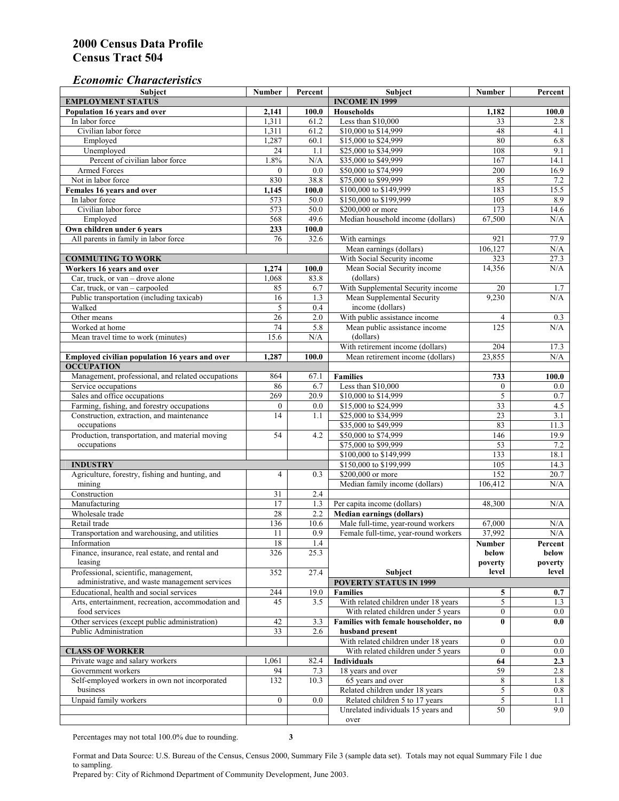#### *Economic Characteristics*

| <b>Subject</b>                                     | Number           | Percent | Subject                              | Number         | Percent    |
|----------------------------------------------------|------------------|---------|--------------------------------------|----------------|------------|
| <b>EMPLOYMENT STATUS</b>                           |                  |         | <b>INCOME IN 1999</b>                |                |            |
| Population 16 years and over                       | 2,141            | 100.0   | Households                           | 1,182          | 100.0      |
| In labor force                                     | 1,311            | 61.2    | Less than \$10,000                   | 33             | 2.8        |
| Civilian labor force                               | 1,311            | 61.2    | \$10,000 to \$14,999                 | 48             | 4.1        |
| Employed                                           | 1,287            | 60.1    | \$15,000 to \$24,999                 | 80             | 6.8        |
| Unemployed                                         | $\overline{24}$  | 1.1     | \$25,000 to \$34,999                 | 108            | 9.1        |
| Percent of civilian labor force                    | 1.8%             | N/A     | \$35,000 to \$49,999                 | 167            | 14.1       |
| Armed Forces                                       | $\mathbf{0}$     | 0.0     | \$50,000 to \$74,999                 | 200            | 16.9       |
| Not in labor force                                 | 830              | 38.8    | \$75,000 to \$99,999                 | 85             | 7.2        |
| Females 16 years and over                          | 1,145            | 100.0   | \$100,000 to \$149,999               | 183            | 15.5       |
| In labor force                                     | 573              | 50.0    | \$150,000 to \$199,999               | 105            | 8.9        |
| Civilian labor force                               | 573              | 50.0    | \$200,000 or more                    | 173            | 14.6       |
| Employed                                           | 568              | 49.6    | Median household income (dollars)    | 67,500         | N/A        |
| Own children under 6 years                         | 233              | 100.0   |                                      |                |            |
| All parents in family in labor force               | 76               | 32.6    | With earnings                        | 921            | 77.9       |
|                                                    |                  |         | Mean earnings (dollars)              | 106,127        | N/A        |
| <b>COMMUTING TO WORK</b>                           |                  |         | With Social Security income          | 323            | 27.3       |
| Workers 16 years and over                          | 1,274            | 100.0   | Mean Social Security income          | 14,356         | N/A        |
| Car, truck, or van – drove alone                   | 1,068            | 83.8    | (dollars)                            |                |            |
| Car, truck, or van - carpooled                     | 85               | 6.7     | With Supplemental Security income    | 20             | 1.7        |
| Public transportation (including taxicab)          | 16               | 1.3     | Mean Supplemental Security           | 9,230          | N/A        |
| Walked                                             | 5                | 0.4     | income (dollars)                     |                |            |
| Other means                                        | $\overline{26}$  | 2.0     | With public assistance income        | $\overline{4}$ |            |
| Worked at home                                     | 74               | 5.8     | Mean public assistance income        | 125            | 0.3<br>N/A |
|                                                    |                  |         |                                      |                |            |
| Mean travel time to work (minutes)                 | 15.6             | N/A     | (dollars)                            |                |            |
|                                                    |                  |         | With retirement income (dollars)     | 204            | 17.3       |
| Employed civilian population 16 years and over     | 1,287            | 100.0   | Mean retirement income (dollars)     | 23,855         | N/A        |
| <b>OCCUPATION</b>                                  |                  |         |                                      |                |            |
| Management, professional, and related occupations  | 864              | 67.1    | <b>Families</b>                      | 733            | 100.0      |
| Service occupations                                | 86               | 6.7     | Less than \$10,000                   | $\mathbf{0}$   | $0.0\,$    |
| Sales and office occupations                       | 269              | 20.9    | \$10,000 to \$14,999                 | 5              | $0.7\,$    |
| Farming, fishing, and forestry occupations         | $\boldsymbol{0}$ | 0.0     | \$15,000 to \$24,999                 | 33             | 4.5        |
| Construction, extraction, and maintenance          | 14               | 1.1     | \$25,000 to \$34,999                 | 23             | 3.1        |
| occupations                                        |                  |         | \$35,000 to \$49,999                 | 83             | 11.3       |
| Production, transportation, and material moving    | 54               | 4.2     | \$50,000 to \$74,999                 | 146            | 19.9       |
| occupations                                        |                  |         | \$75,000 to \$99,999                 | 53             | $7.2\,$    |
|                                                    |                  |         | \$100,000 to \$149,999               | 133            | 18.1       |
| <b>INDUSTRY</b>                                    |                  |         | \$150,000 to \$199,999               | 105            | 14.3       |
| Agriculture, forestry, fishing and hunting, and    | $\overline{4}$   | 0.3     | \$200,000 or more                    | 152            | 20.7       |
| mining                                             |                  |         | Median family income (dollars)       | 106,412        | N/A        |
| Construction                                       | 31               | 2.4     |                                      |                |            |
| Manufacturing                                      | 17               | 1.3     | Per capita income (dollars)          | 48,300         | N/A        |
| Wholesale trade                                    | 28               | 2.2     | <b>Median earnings (dollars)</b>     |                |            |
| Retail trade                                       | 136              | 10.6    | Male full-time, year-round workers   | 67,000         | N/A        |
| Transportation and warehousing, and utilities      | 11               | 0.9     | Female full-time, year-round workers | 37,992         | N/A        |
| Information                                        | 18               | 1.4     |                                      | Number         | Percent    |
| Finance, insurance, real estate, and rental and    | 326              | 25.3    |                                      | below          | below      |
| leasing                                            |                  |         |                                      | poverty        | poverty    |
| Professional, scientific, management,              | 352              | 27.4    | Subject                              | level          | level      |
| administrative, and waste management services      |                  |         | <b>POVERTY STATUS IN 1999</b>        |                |            |
| Educational, health and social services            | 244              | 19.0    | <b>Families</b>                      | 5              | 0.7        |
| Arts, entertainment, recreation, accommodation and | 45               | 3.5     | With related children under 18 years | 5              | 1.3        |
| food services                                      |                  |         | With related children under 5 years  | $\overline{0}$ | 0.0        |
| Other services (except public administration)      | 42               | 3.3     | Families with female householder, no | $\bf{0}$       | 0.0        |
| Public Administration                              | 33               | 2.6     | husband present                      |                |            |
|                                                    |                  |         | With related children under 18 years | $\overline{0}$ | $0.0\,$    |
| <b>CLASS OF WORKER</b>                             |                  |         | With related children under 5 years  | $\overline{0}$ | 0.0        |
| Private wage and salary workers                    | 1,061            | 82.4    | <b>Individuals</b>                   | 64             | 2.3        |
| Government workers                                 | 94               | 7.3     | 18 years and over                    | 59             | 2.8        |
| Self-employed workers in own not incorporated      | 132              | 10.3    | 65 years and over                    | 8              | 1.8        |
| business                                           |                  |         | Related children under 18 years      | 5              | 0.8        |
| Unpaid family workers                              | $\mathbf{0}$     | 0.0     | Related children 5 to 17 years       | 5              | 1.1        |
|                                                    |                  |         | Unrelated individuals 15 years and   | 50             | 9.0        |
|                                                    |                  |         | over                                 |                |            |
|                                                    |                  |         |                                      |                |            |

Percentages may not total 100.0% due to rounding. **3** 

Format and Data Source: U.S. Bureau of the Census, Census 2000, Summary File 3 (sample data set). Totals may not equal Summary File 1 due to sampling.

Prepared by: City of Richmond Department of Community Development, June 2003.